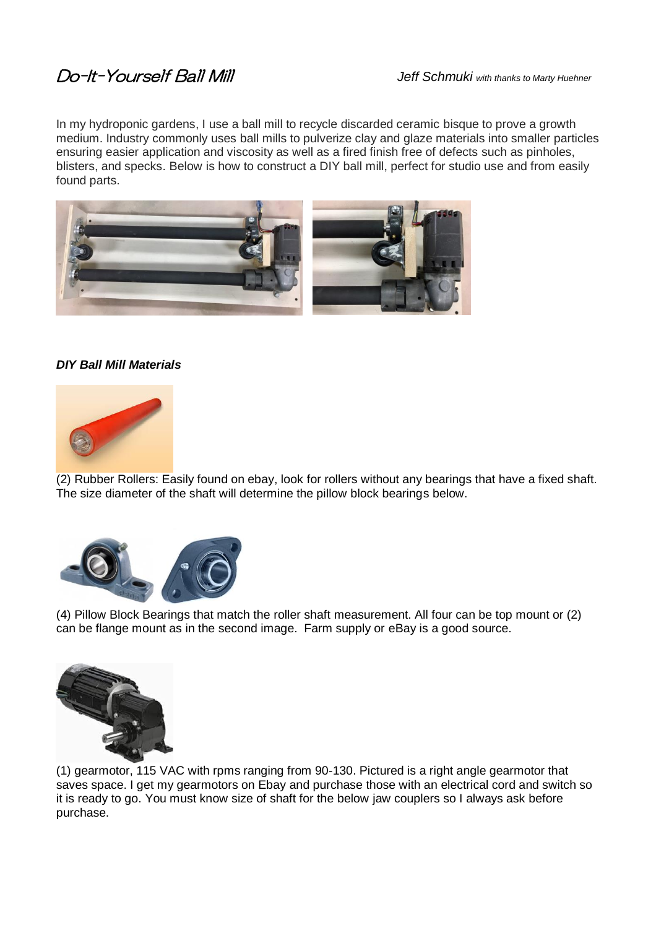## Do-It-Yourself Ball Mill *Jeff Schmuki with thanks to Marty Huehner*

In my hydroponic gardens, I use a ball mill to recycle discarded ceramic bisque to prove a growth medium. Industry commonly uses ball mills to pulverize clay and glaze materials into smaller particles ensuring easier application and viscosity as well as a fired finish free of defects such as pinholes, blisters, and specks. Below is how to construct a DIY ball mill, perfect for studio use and from easily found parts.



## *DIY Ball Mill Materials*



(2) Rubber Rollers: Easily found on ebay, look for rollers without any bearings that have a fixed shaft. The size diameter of the shaft will determine the pillow block bearings below.



(4) Pillow Block Bearings that match the roller shaft measurement. All four can be top mount or (2) can be flange mount as in the second image. Farm supply or eBay is a good source.



(1) gearmotor, 115 VAC with rpms ranging from 90-130. Pictured is a right angle gearmotor that saves space. I get my gearmotors on Ebay and purchase those with an electrical cord and switch so it is ready to go. You must know size of shaft for the below jaw couplers so I always ask before purchase.